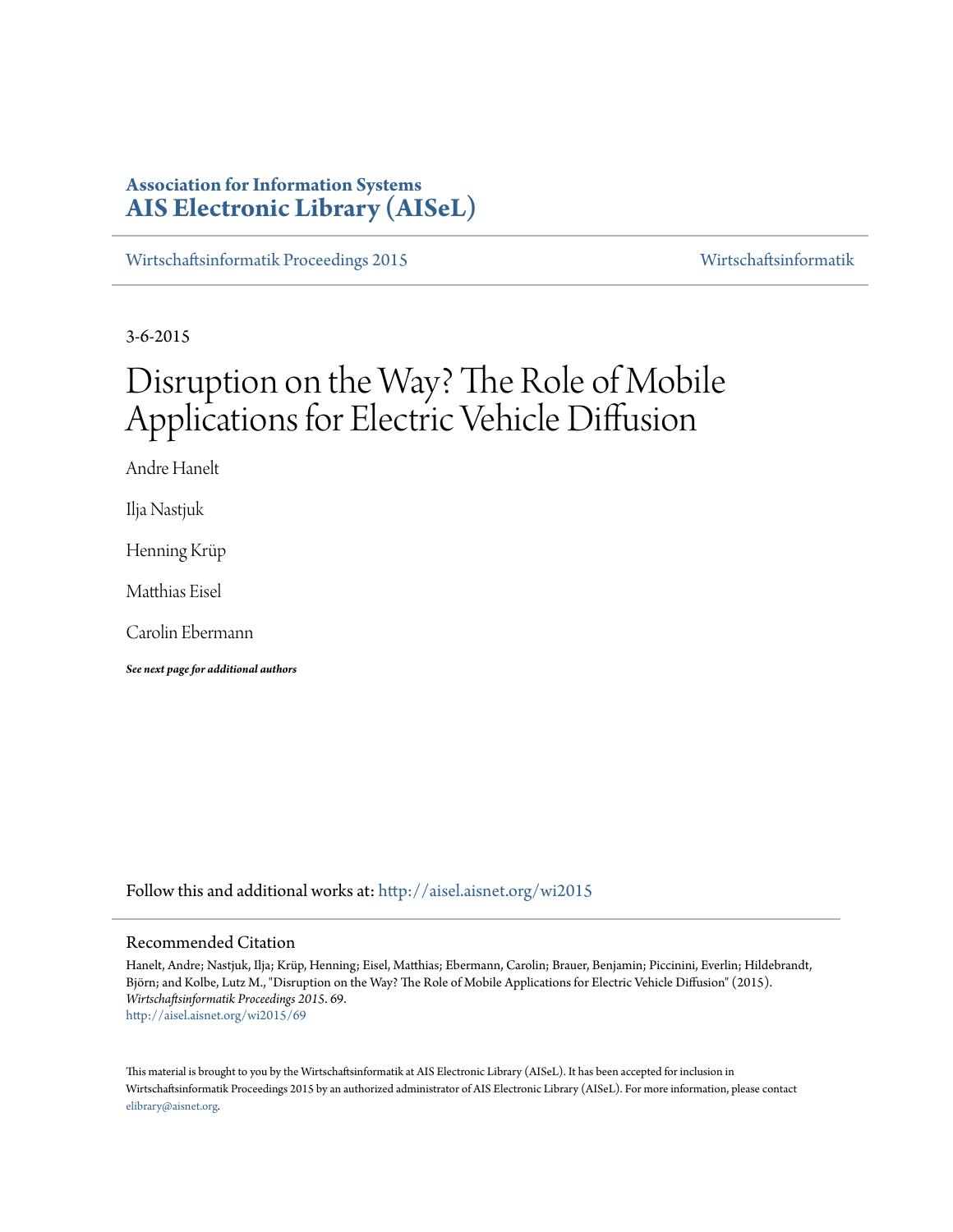# **Association for Information Systems [AIS Electronic Library \(AISeL\)](http://aisel.aisnet.org?utm_source=aisel.aisnet.org%2Fwi2015%2F69&utm_medium=PDF&utm_campaign=PDFCoverPages)**

[Wirtschaftsinformatik Proceedings 2015](http://aisel.aisnet.org/wi2015?utm_source=aisel.aisnet.org%2Fwi2015%2F69&utm_medium=PDF&utm_campaign=PDFCoverPages) [Wirtschaftsinformatik](http://aisel.aisnet.org/wi?utm_source=aisel.aisnet.org%2Fwi2015%2F69&utm_medium=PDF&utm_campaign=PDFCoverPages)

3-6-2015

# Disruption on the Way? The Role of Mobile Applications for Electric Vehicle Diffusion

Andre Hanelt

Ilja Nastjuk

Henning Krüp

Matthias Eisel

Carolin Ebermann

*See next page for additional authors*

Follow this and additional works at: [http://aisel.aisnet.org/wi2015](http://aisel.aisnet.org/wi2015?utm_source=aisel.aisnet.org%2Fwi2015%2F69&utm_medium=PDF&utm_campaign=PDFCoverPages)

#### Recommended Citation

Hanelt, Andre; Nastjuk, Ilja; Krüp, Henning; Eisel, Matthias; Ebermann, Carolin; Brauer, Benjamin; Piccinini, Everlin; Hildebrandt, Björn; and Kolbe, Lutz M., "Disruption on the Way? The Role of Mobile Applications for Electric Vehicle Diffusion" (2015). *Wirtschaftsinformatik Proceedings 2015*. 69. [http://aisel.aisnet.org/wi2015/69](http://aisel.aisnet.org/wi2015/69?utm_source=aisel.aisnet.org%2Fwi2015%2F69&utm_medium=PDF&utm_campaign=PDFCoverPages)

This material is brought to you by the Wirtschaftsinformatik at AIS Electronic Library (AISeL). It has been accepted for inclusion in Wirtschaftsinformatik Proceedings 2015 by an authorized administrator of AIS Electronic Library (AISeL). For more information, please contact [elibrary@aisnet.org.](mailto:elibrary@aisnet.org%3E)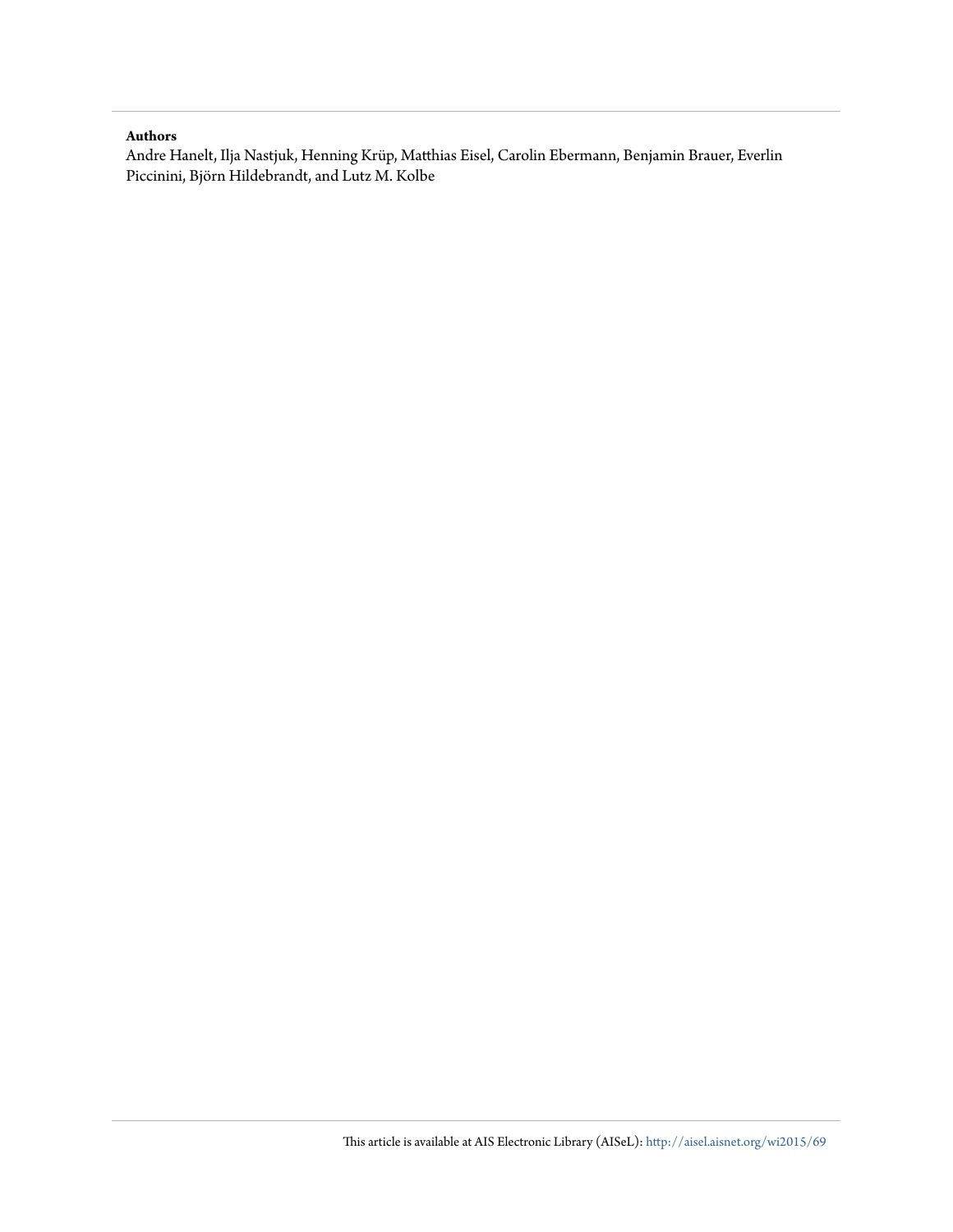#### **Authors**

Andre Hanelt, Ilja Nastjuk, Henning Krüp, Matthias Eisel, Carolin Ebermann, Benjamin Brauer, Everlin Piccinini, Björn Hildebrandt, and Lutz M. Kolbe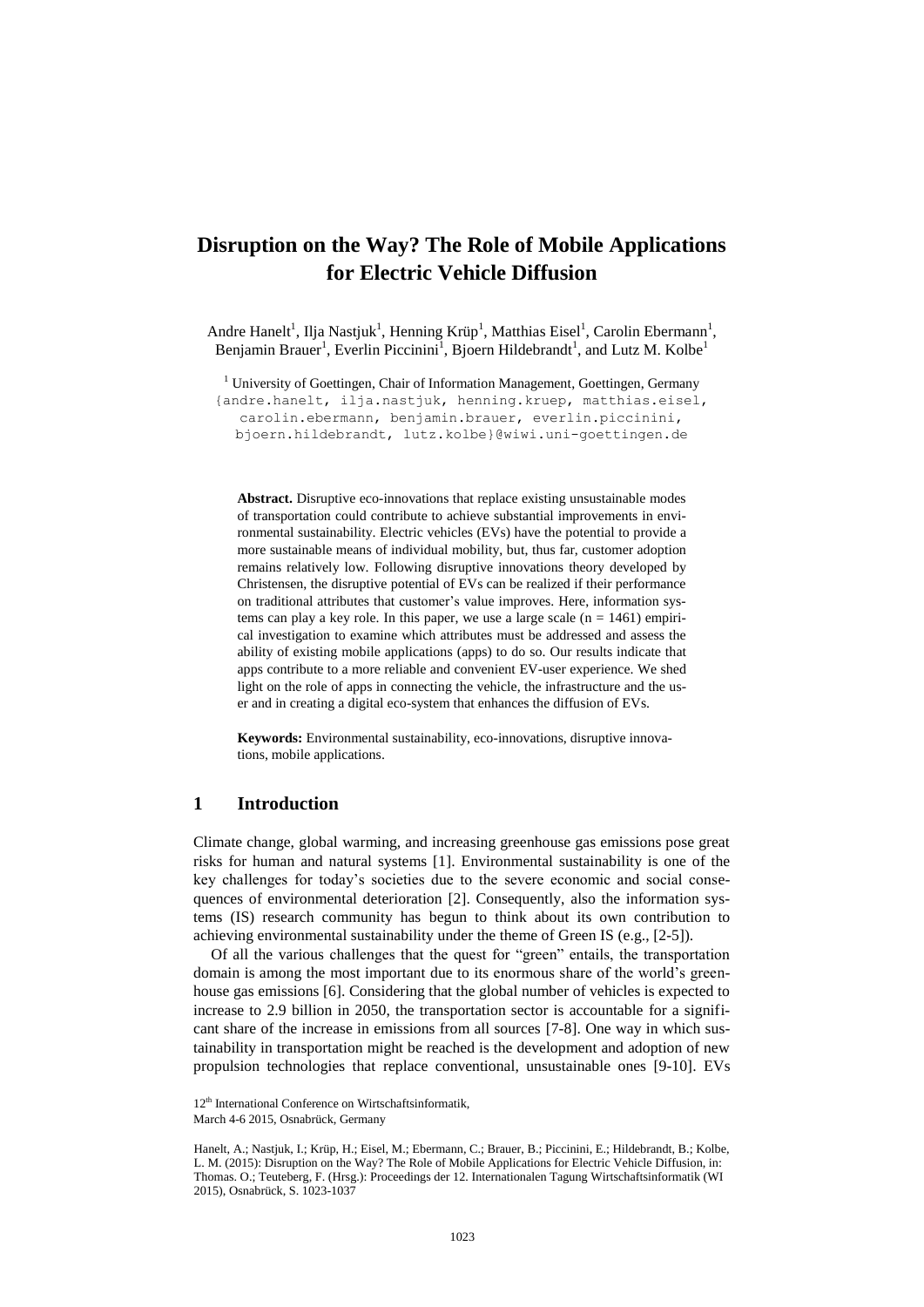# **Disruption on the Way? The Role of Mobile Applications for Electric Vehicle Diffusion**

Andre Hanelt<sup>1</sup>, Ilja Nastjuk<sup>1</sup>, Henning Krüp<sup>1</sup>, Matthias Eisel<sup>1</sup>, Carolin Ebermann<sup>1</sup>, Benjamin Brauer<sup>1</sup>, Everlin Piccinini<sup>1</sup>, Bjoern Hildebrandt<sup>1</sup>, and Lutz M. Kolbe<sup>1</sup>

<sup>1</sup> University of Goettingen, Chair of Information Management, Goettingen, Germany

{andre.hanelt, ilja.nastjuk, henning.kruep, matthias.eisel, carolin.ebermann, benjamin.brauer, everlin.piccinini,

bjoern.hildebrandt, lutz.kolbe}@wiwi.uni-goettingen.de

**Abstract.** Disruptive eco-innovations that replace existing unsustainable modes of transportation could contribute to achieve substantial improvements in environmental sustainability. Electric vehicles (EVs) have the potential to provide a more sustainable means of individual mobility, but, thus far, customer adoption remains relatively low. Following disruptive innovations theory developed by Christensen, the disruptive potential of EVs can be realized if their performance on traditional attributes that customer's value improves. Here, information systems can play a key role. In this paper, we use a large scale  $(n = 1461)$  empirical investigation to examine which attributes must be addressed and assess the ability of existing mobile applications (apps) to do so. Our results indicate that apps contribute to a more reliable and convenient EV-user experience. We shed light on the role of apps in connecting the vehicle, the infrastructure and the user and in creating a digital eco-system that enhances the diffusion of EVs.

**Keywords:** Environmental sustainability, eco-innovations, disruptive innovations, mobile applications.

### **1 Introduction**

Climate change, global warming, and increasing greenhouse gas emissions pose great risks for human and natural systems [1]. Environmental sustainability is one of the key challenges for today's societies due to the severe economic and social consequences of environmental deterioration [2]. Consequently, also the information systems (IS) research community has begun to think about its own contribution to achieving environmental sustainability under the theme of Green IS (e.g., [2-5]).

Of all the various challenges that the quest for "green" entails, the transportation domain is among the most important due to its enormous share of the world's greenhouse gas emissions [6]. Considering that the global number of vehicles is expected to increase to 2.9 billion in 2050, the transportation sector is accountable for a significant share of the increase in emissions from all sources [7-8]. One way in which sustainability in transportation might be reached is the development and adoption of new propulsion technologies that replace conventional, unsustainable ones [9-10]. EVs

<sup>12&</sup>lt;sup>th</sup> International Conference on Wirtschaftsinformatik,

March 4-6 2015, Osnabrück, Germany

Hanelt, A.; Nastjuk, I.; Krüp, H.; Eisel, M.; Ebermann, C.; Brauer, B.; Piccinini, E.; Hildebrandt, B.; Kolbe, L. M. (2015): Disruption on the Way? The Role of Mobile Applications for Electric Vehicle Diffusion, in: Thomas. O.; Teuteberg, F. (Hrsg.): Proceedings der 12. Internationalen Tagung Wirtschaftsinformatik (WI 2015), Osnabrück, S. 1023-1037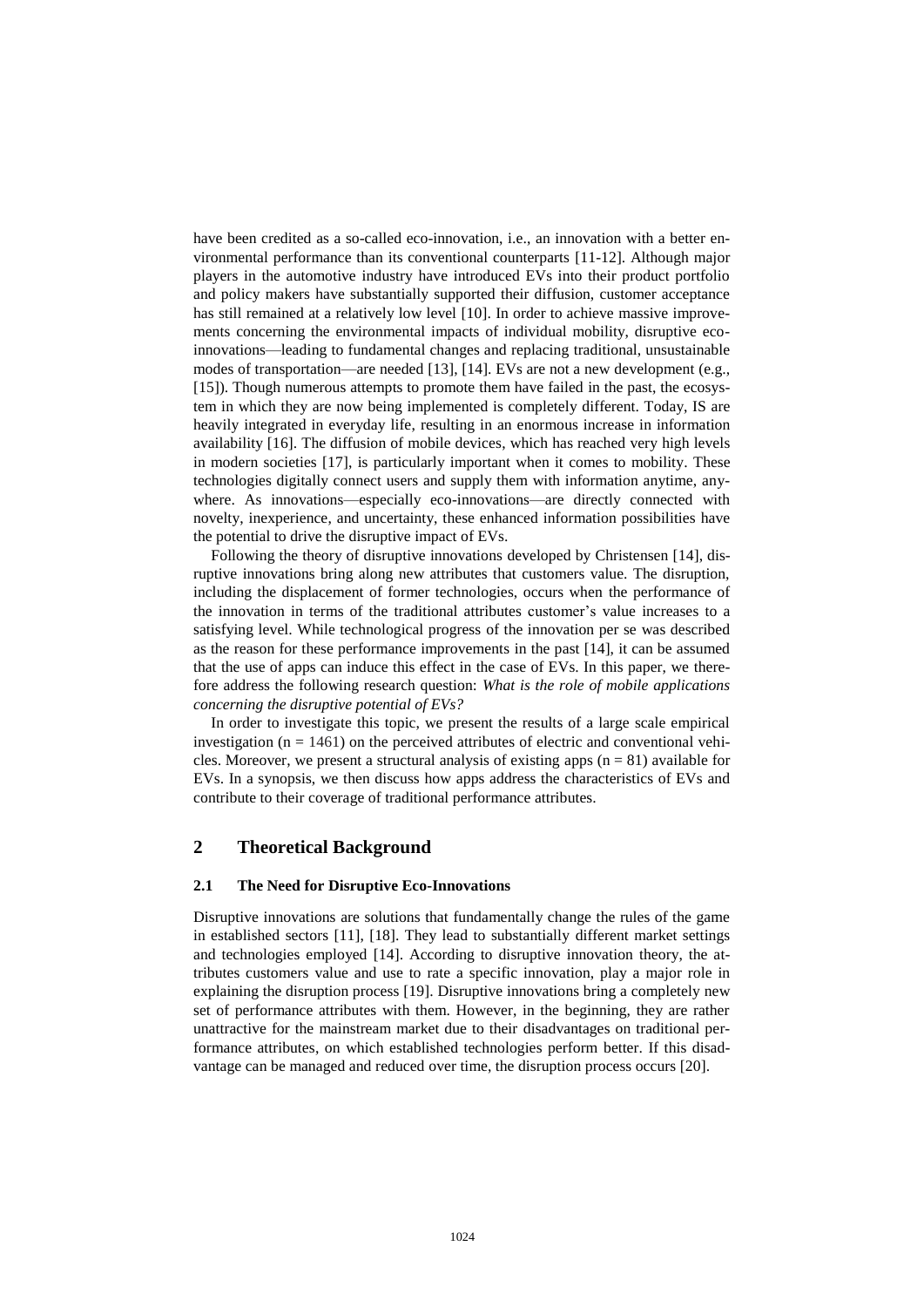have been credited as a so-called eco-innovation, i.e., an innovation with a better environmental performance than its conventional counterparts [11-12]. Although major players in the automotive industry have introduced EVs into their product portfolio and policy makers have substantially supported their diffusion, customer acceptance has still remained at a relatively low level [10]. In order to achieve massive improvements concerning the environmental impacts of individual mobility, disruptive ecoinnovations—leading to fundamental changes and replacing traditional, unsustainable modes of transportation—are needed [13], [14]. EVs are not a new development (e.g., [15]). Though numerous attempts to promote them have failed in the past, the ecosystem in which they are now being implemented is completely different. Today, IS are heavily integrated in everyday life, resulting in an enormous increase in information availability [16]. The diffusion of mobile devices, which has reached very high levels in modern societies [17], is particularly important when it comes to mobility. These technologies digitally connect users and supply them with information anytime, anywhere. As innovations—especially eco-innovations—are directly connected with novelty, inexperience, and uncertainty, these enhanced information possibilities have the potential to drive the disruptive impact of EVs.

Following the theory of disruptive innovations developed by Christensen [14], disruptive innovations bring along new attributes that customers value. The disruption, including the displacement of former technologies, occurs when the performance of the innovation in terms of the traditional attributes customer's value increases to a satisfying level. While technological progress of the innovation per se was described as the reason for these performance improvements in the past [14], it can be assumed that the use of apps can induce this effect in the case of EVs. In this paper, we therefore address the following research question: *What is the role of mobile applications concerning the disruptive potential of EVs?*

In order to investigate this topic, we present the results of a large scale empirical investigation ( $n = 1461$ ) on the perceived attributes of electric and conventional vehicles. Moreover, we present a structural analysis of existing apps  $(n = 81)$  available for EVs. In a synopsis, we then discuss how apps address the characteristics of EVs and contribute to their coverage of traditional performance attributes.

## **2 Theoretical Background**

#### **2.1 The Need for Disruptive Eco-Innovations**

Disruptive innovations are solutions that fundamentally change the rules of the game in established sectors [11], [18]. They lead to substantially different market settings and technologies employed [14]. According to disruptive innovation theory, the attributes customers value and use to rate a specific innovation, play a major role in explaining the disruption process [19]. Disruptive innovations bring a completely new set of performance attributes with them. However, in the beginning, they are rather unattractive for the mainstream market due to their disadvantages on traditional performance attributes, on which established technologies perform better. If this disadvantage can be managed and reduced over time, the disruption process occurs [20].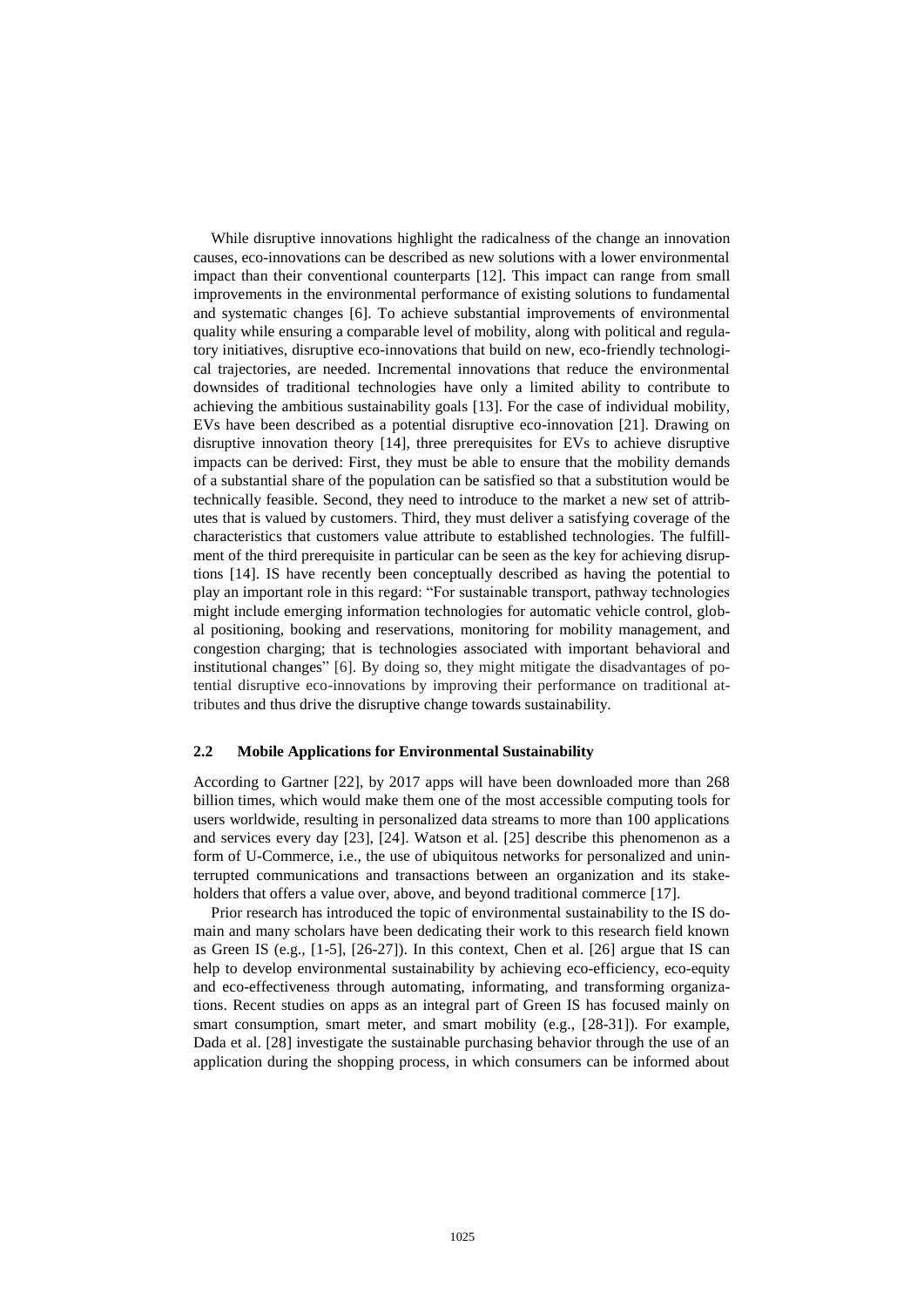While disruptive innovations highlight the radicalness of the change an innovation causes, eco-innovations can be described as new solutions with a lower environmental impact than their conventional counterparts [12]. This impact can range from small improvements in the environmental performance of existing solutions to fundamental and systematic changes [6]. To achieve substantial improvements of environmental quality while ensuring a comparable level of mobility, along with political and regulatory initiatives, disruptive eco-innovations that build on new, eco-friendly technological trajectories, are needed. Incremental innovations that reduce the environmental downsides of traditional technologies have only a limited ability to contribute to achieving the ambitious sustainability goals [13]. For the case of individual mobility, EVs have been described as a potential disruptive eco-innovation [21]. Drawing on disruptive innovation theory [14], three prerequisites for EVs to achieve disruptive impacts can be derived: First, they must be able to ensure that the mobility demands of a substantial share of the population can be satisfied so that a substitution would be technically feasible. Second, they need to introduce to the market a new set of attributes that is valued by customers. Third, they must deliver a satisfying coverage of the characteristics that customers value attribute to established technologies. The fulfillment of the third prerequisite in particular can be seen as the key for achieving disruptions [14]. IS have recently been conceptually described as having the potential to play an important role in this regard: "For sustainable transport, pathway technologies might include emerging information technologies for automatic vehicle control, global positioning, booking and reservations, monitoring for mobility management, and congestion charging; that is technologies associated with important behavioral and institutional changes" [6]. By doing so, they might mitigate the disadvantages of potential disruptive eco-innovations by improving their performance on traditional attributes and thus drive the disruptive change towards sustainability.

#### **2.2 Mobile Applications for Environmental Sustainability**

According to Gartner [22], by 2017 apps will have been downloaded more than 268 billion times, which would make them one of the most accessible computing tools for users worldwide, resulting in personalized data streams to more than 100 applications and services every day [23], [24]. Watson et al. [25] describe this phenomenon as a form of U-Commerce, i.e., the use of ubiquitous networks for personalized and uninterrupted communications and transactions between an organization and its stakeholders that offers a value over, above, and beyond traditional commerce [17].

Prior research has introduced the topic of environmental sustainability to the IS domain and many scholars have been dedicating their work to this research field known as Green IS (e.g., [1-5], [26-27]). In this context, Chen et al. [26] argue that IS can help to develop environmental sustainability by achieving eco-efficiency, eco-equity and eco-effectiveness through automating, informating, and transforming organizations. Recent studies on apps as an integral part of Green IS has focused mainly on smart consumption, smart meter, and smart mobility (e.g., [28-31]). For example, Dada et al. [28] investigate the sustainable purchasing behavior through the use of an application during the shopping process, in which consumers can be informed about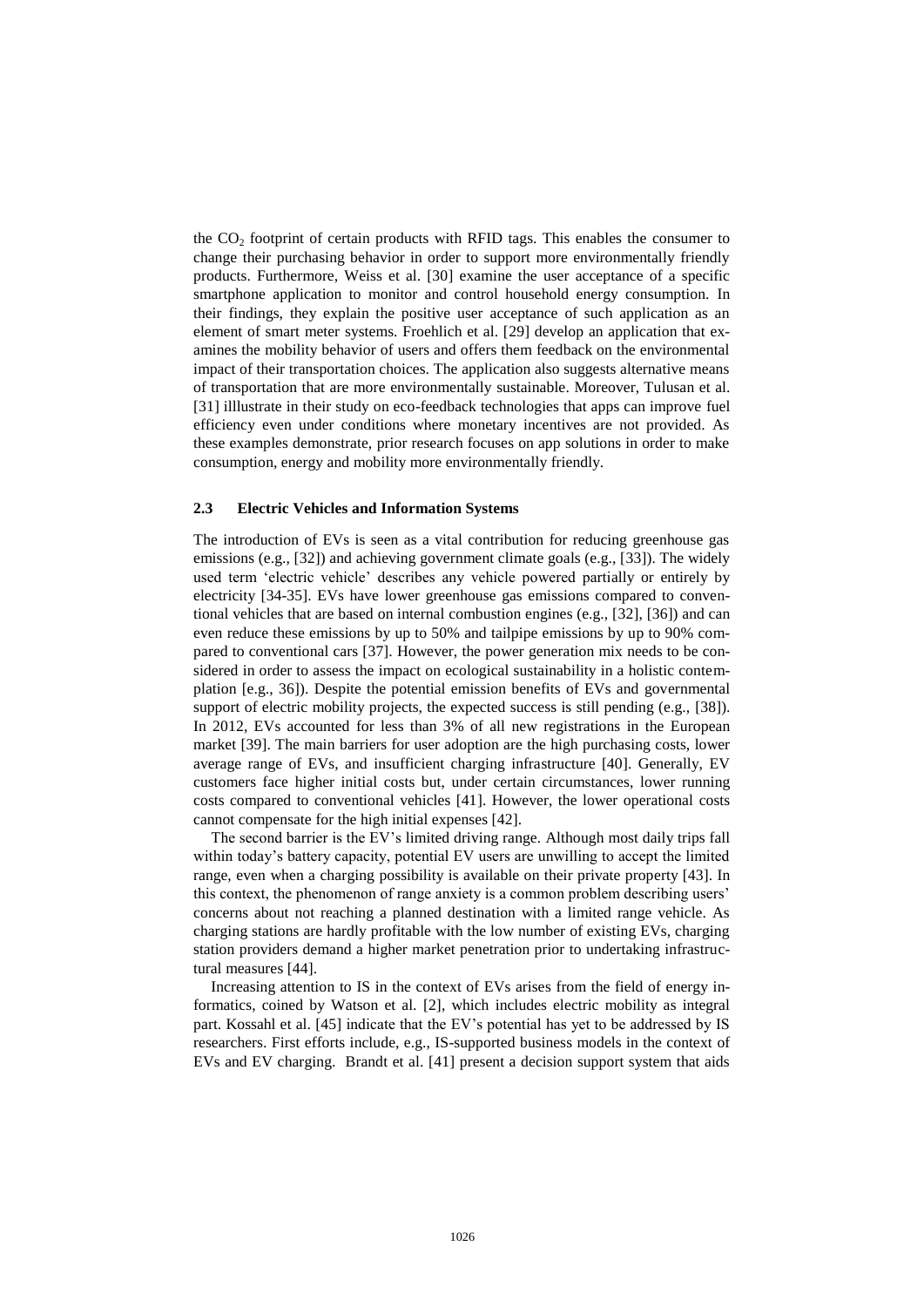the  $CO<sub>2</sub>$  footprint of certain products with RFID tags. This enables the consumer to change their purchasing behavior in order to support more environmentally friendly products. Furthermore, Weiss et al. [30] examine the user acceptance of a specific smartphone application to monitor and control household energy consumption. In their findings, they explain the positive user acceptance of such application as an element of smart meter systems. Froehlich et al. [29] develop an application that examines the mobility behavior of users and offers them feedback on the environmental impact of their transportation choices. The application also suggests alternative means of transportation that are more environmentally sustainable. Moreover, Tulusan et al. [31] illlustrate in their study on eco-feedback technologies that apps can improve fuel efficiency even under conditions where monetary incentives are not provided. As these examples demonstrate, prior research focuses on app solutions in order to make consumption, energy and mobility more environmentally friendly.

#### **2.3 Electric Vehicles and Information Systems**

The introduction of EVs is seen as a vital contribution for reducing greenhouse gas emissions (e.g., [32]) and achieving government climate goals (e.g., [33]). The widely used term 'electric vehicle' describes any vehicle powered partially or entirely by electricity [34-35]. EVs have lower greenhouse gas emissions compared to conventional vehicles that are based on internal combustion engines (e.g., [32], [36]) and can even reduce these emissions by up to 50% and tailpipe emissions by up to 90% compared to conventional cars [37]. However, the power generation mix needs to be considered in order to assess the impact on ecological sustainability in a holistic contemplation [e.g., 36]). Despite the potential emission benefits of EVs and governmental support of electric mobility projects, the expected success is still pending (e.g., [38]). In 2012, EVs accounted for less than 3% of all new registrations in the European market [39]. The main barriers for user adoption are the high purchasing costs, lower average range of EVs, and insufficient charging infrastructure [40]. Generally, EV customers face higher initial costs but, under certain circumstances, lower running costs compared to conventional vehicles [41]. However, the lower operational costs cannot compensate for the high initial expenses [42].

The second barrier is the EV's limited driving range. Although most daily trips fall within today's battery capacity, potential EV users are unwilling to accept the limited range, even when a charging possibility is available on their private property [43]. In this context, the phenomenon of range anxiety is a common problem describing users' concerns about not reaching a planned destination with a limited range vehicle. As charging stations are hardly profitable with the low number of existing EVs, charging station providers demand a higher market penetration prior to undertaking infrastructural measures [44].

Increasing attention to IS in the context of EVs arises from the field of energy informatics, coined by Watson et al. [2], which includes electric mobility as integral part. Kossahl et al. [45] indicate that the EV's potential has yet to be addressed by IS researchers. First efforts include, e.g., IS-supported business models in the context of EVs and EV charging. Brandt et al. [41] present a decision support system that aids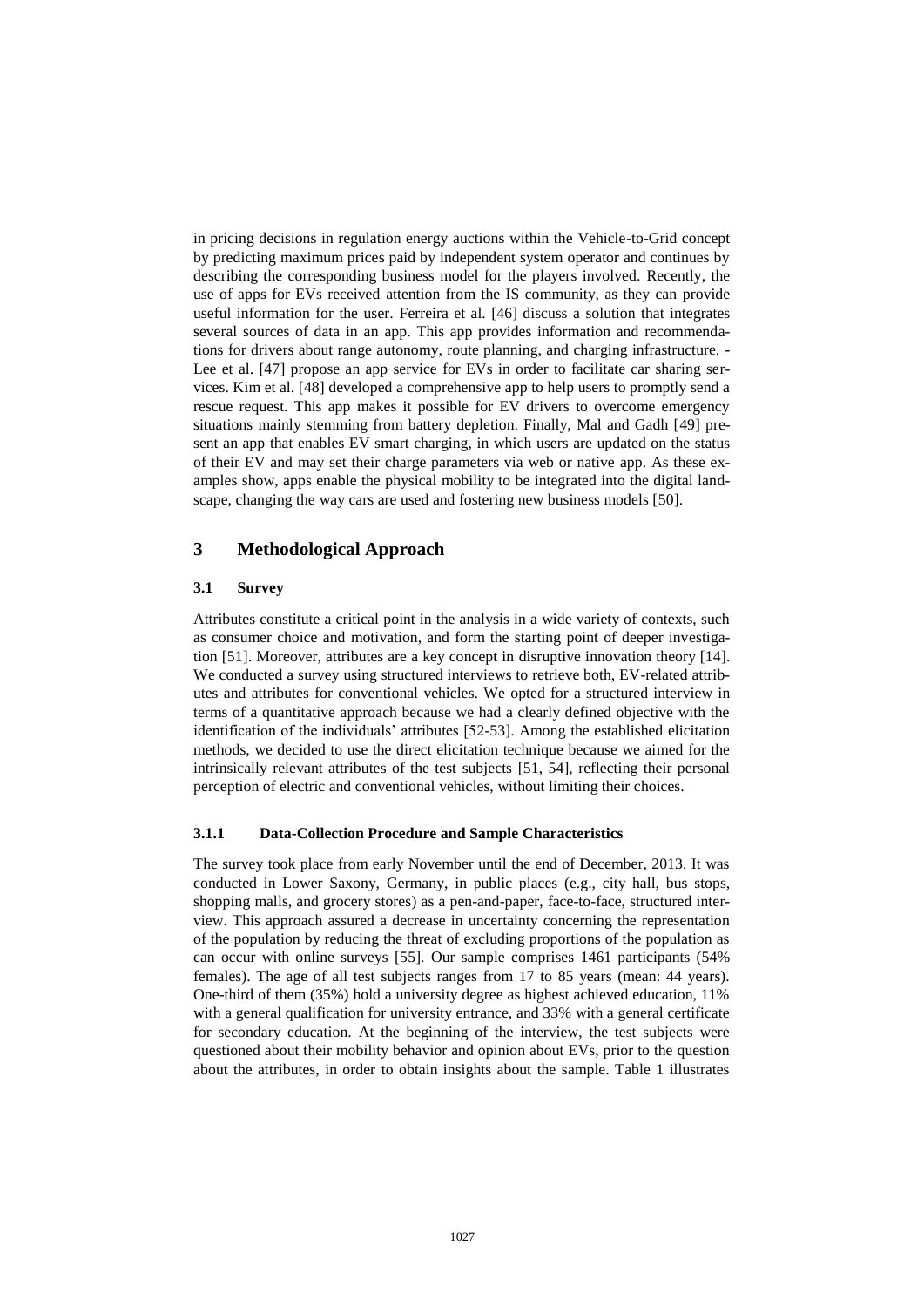in pricing decisions in regulation energy auctions within the Vehicle-to-Grid concept by predicting maximum prices paid by independent system operator and continues by describing the corresponding business model for the players involved. Recently, the use of apps for EVs received attention from the IS community, as they can provide useful information for the user. Ferreira et al. [46] discuss a solution that integrates several sources of data in an app. This app provides information and recommendations for drivers about range autonomy, route planning, and charging infrastructure. - Lee et al. [47] propose an app service for EVs in order to facilitate car sharing services. Kim et al. [48] developed a comprehensive app to help users to promptly send a rescue request. This app makes it possible for EV drivers to overcome emergency situations mainly stemming from battery depletion. Finally, Mal and Gadh [49] present an app that enables EV smart charging, in which users are updated on the status of their EV and may set their charge parameters via web or native app. As these examples show, apps enable the physical mobility to be integrated into the digital landscape, changing the way cars are used and fostering new business models [50].

#### **3 Methodological Approach**

#### **3.1 Survey**

Attributes constitute a critical point in the analysis in a wide variety of contexts, such as consumer choice and motivation, and form the starting point of deeper investigation [51]. Moreover, attributes are a key concept in disruptive innovation theory [14]. We conducted a survey using structured interviews to retrieve both, EV-related attributes and attributes for conventional vehicles. We opted for a structured interview in terms of a quantitative approach because we had a clearly defined objective with the identification of the individuals' attributes [52-53]. Among the established elicitation methods, we decided to use the direct elicitation technique because we aimed for the intrinsically relevant attributes of the test subjects [51, 54], reflecting their personal perception of electric and conventional vehicles, without limiting their choices.

#### **3.1.1 Data-Collection Procedure and Sample Characteristics**

The survey took place from early November until the end of December, 2013. It was conducted in Lower Saxony, Germany, in public places (e.g., city hall, bus stops, shopping malls, and grocery stores) as a pen-and-paper, face-to-face, structured interview. This approach assured a decrease in uncertainty concerning the representation of the population by reducing the threat of excluding proportions of the population as can occur with online surveys [55]. Our sample comprises 1461 participants (54% females). The age of all test subjects ranges from 17 to 85 years (mean: 44 years). One-third of them (35%) hold a university degree as highest achieved education, 11% with a general qualification for university entrance, and 33% with a general certificate for secondary education. At the beginning of the interview, the test subjects were questioned about their mobility behavior and opinion about EVs, prior to the question about the attributes, in order to obtain insights about the sample. Table 1 illustrates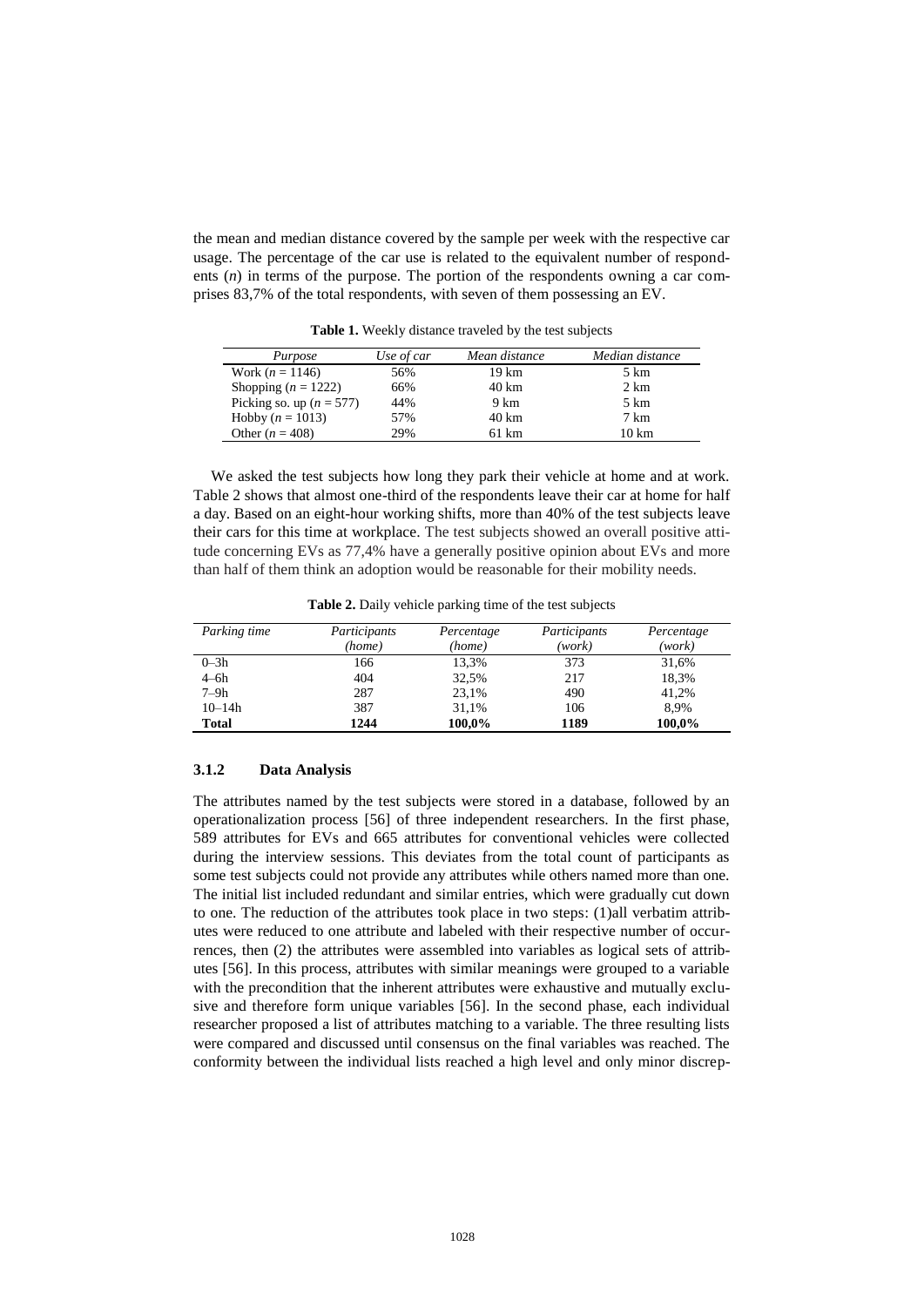the mean and median distance covered by the sample per week with the respective car usage. The percentage of the car use is related to the equivalent number of respondents (*n*) in terms of the purpose. The portion of the respondents owning a car comprises 83,7% of the total respondents, with seven of them possessing an EV.

| Purpose                      | Use of car | Mean distance | Median distance  |
|------------------------------|------------|---------------|------------------|
| Work $(n = 1146)$            | 56%        | 19 km         | 5 km             |
| Shopping $(n = 1222)$        | 66%        | 40 km         | 2 km             |
| Picking so. up ( $n = 577$ ) | 44%        | 9 km          | 5 km             |
| Hobby $(n = 1013)$           | 57%        | 40 km         | 7 km             |
| Other $(n = 408)$            | 29%        | 61 km         | $10 \mathrm{km}$ |

**Table 1.** Weekly distance traveled by the test subjects

We asked the test subjects how long they park their vehicle at home and at work. Table 2 shows that almost one-third of the respondents leave their car at home for half a day. Based on an eight-hour working shifts, more than 40% of the test subjects leave their cars for this time at workplace. The test subjects showed an overall positive attitude concerning EVs as 77,4% have a generally positive opinion about EVs and more than half of them think an adoption would be reasonable for their mobility needs.

**Table 2.** Daily vehicle parking time of the test subjects

| Parking time | Participants | Percentage | Participants | Percentage |
|--------------|--------------|------------|--------------|------------|
|              | (home)       | (home)     | (work)       | (work)     |
| $0 - 3h$     | 166          | 13.3%      | 373          | 31.6%      |
| $4-6h$       | 404          | 32,5%      | 217          | 18,3%      |
| $7-9h$       | 287          | 23.1%      | 490          | 41.2%      |
| $10 - 14h$   | 387          | 31.1%      | 106          | 8.9%       |
| <b>Total</b> | 1244         | 100,0%     | 1189         | 100,0%     |

#### **3.1.2 Data Analysis**

The attributes named by the test subjects were stored in a database, followed by an operationalization process [56] of three independent researchers. In the first phase, 589 attributes for EVs and 665 attributes for conventional vehicles were collected during the interview sessions. This deviates from the total count of participants as some test subjects could not provide any attributes while others named more than one. The initial list included redundant and similar entries, which were gradually cut down to one. The reduction of the attributes took place in two steps: (1)all verbatim attributes were reduced to one attribute and labeled with their respective number of occurrences, then (2) the attributes were assembled into variables as logical sets of attributes [56]. In this process, attributes with similar meanings were grouped to a variable with the precondition that the inherent attributes were exhaustive and mutually exclusive and therefore form unique variables [56]. In the second phase, each individual researcher proposed a list of attributes matching to a variable. The three resulting lists were compared and discussed until consensus on the final variables was reached. The conformity between the individual lists reached a high level and only minor discrep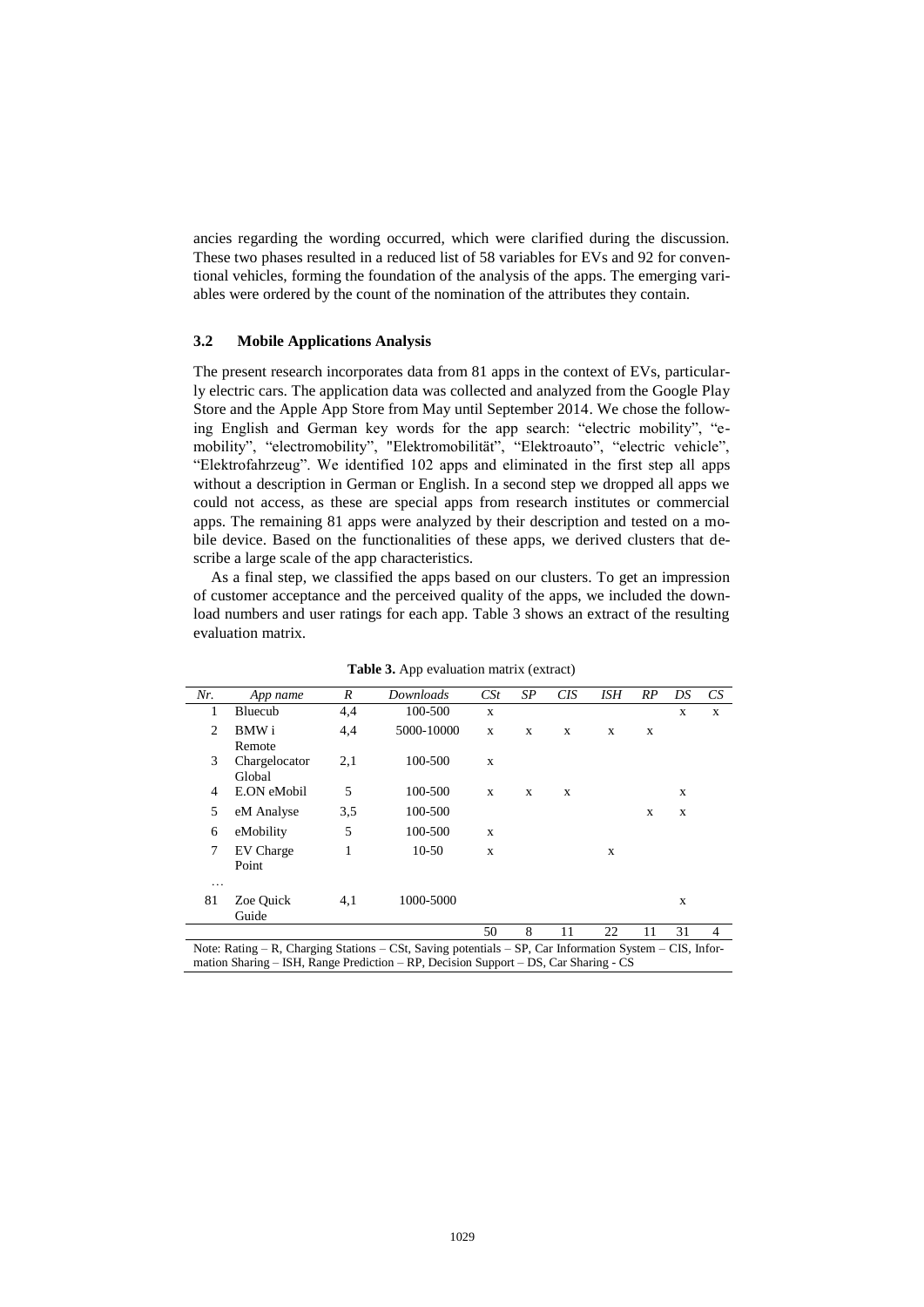ancies regarding the wording occurred, which were clarified during the discussion. These two phases resulted in a reduced list of 58 variables for EVs and 92 for conventional vehicles, forming the foundation of the analysis of the apps. The emerging variables were ordered by the count of the nomination of the attributes they contain.

#### **3.2 Mobile Applications Analysis**

The present research incorporates data from 81 apps in the context of EVs, particularly electric cars. The application data was collected and analyzed from the Google Play Store and the Apple App Store from May until September 2014. We chose the following English and German key words for the app search: "electric mobility", "emobility", "electromobility", "Elektromobilität", "Elektroauto", "electric vehicle", "Elektrofahrzeug". We identified 102 apps and eliminated in the first step all apps without a description in German or English. In a second step we dropped all apps we could not access, as these are special apps from research institutes or commercial apps. The remaining 81 apps were analyzed by their description and tested on a mobile device. Based on the functionalities of these apps, we derived clusters that describe a large scale of the app characteristics.

As a final step, we classified the apps based on our clusters. To get an impression of customer acceptance and the perceived quality of the apps, we included the download numbers and user ratings for each app. Table 3 shows an extract of the resulting evaluation matrix.

| Nr. | App name                                                                                                        | R   | Downloads  | CSt         | SΡ | CIS | ISH | RP | DS | CS             |
|-----|-----------------------------------------------------------------------------------------------------------------|-----|------------|-------------|----|-----|-----|----|----|----------------|
| 1   | Bluecub                                                                                                         | 4,4 | 100-500    | X           |    |     |     |    | X  | X              |
| 2   | BMW i                                                                                                           | 4,4 | 5000-10000 | X           | X  | X   | X   | X  |    |                |
|     | Remote                                                                                                          |     |            |             |    |     |     |    |    |                |
| 3   | Chargelocator                                                                                                   | 2,1 | 100-500    | X           |    |     |     |    |    |                |
|     | Global                                                                                                          |     |            |             |    |     |     |    |    |                |
| 4   | E.ON eMobil                                                                                                     | 5   | 100-500    | X           | X  | X   |     |    | X  |                |
| 5   | eM Analyse                                                                                                      | 3,5 | 100-500    |             |    |     |     | X  | X  |                |
| 6   | eMobility                                                                                                       | 5   | 100-500    | X           |    |     |     |    |    |                |
| 7   | EV Charge                                                                                                       | 1   | $10-50$    | $\mathbf x$ |    |     | X   |    |    |                |
|     | Point                                                                                                           |     |            |             |    |     |     |    |    |                |
| .   |                                                                                                                 |     |            |             |    |     |     |    |    |                |
| 81  | Zoe Quick                                                                                                       | 4,1 | 1000-5000  |             |    |     |     |    | X  |                |
|     | Guide                                                                                                           |     |            |             |    |     |     |    |    |                |
|     |                                                                                                                 |     |            | 50          | 8  | 11  | 22  | 11 | 31 | $\overline{4}$ |
|     | Note: Rating $-R$ , Charging Stations $-CSt$ , Saving potentials $-SP$ , Car Information System $-CIS$ , Infor- |     |            |             |    |     |     |    |    |                |
|     | mation Sharing – ISH, Range Prediction – RP, Decision Support – DS, Car Sharing - CS                            |     |            |             |    |     |     |    |    |                |

**Table 3.** App evaluation matrix (extract)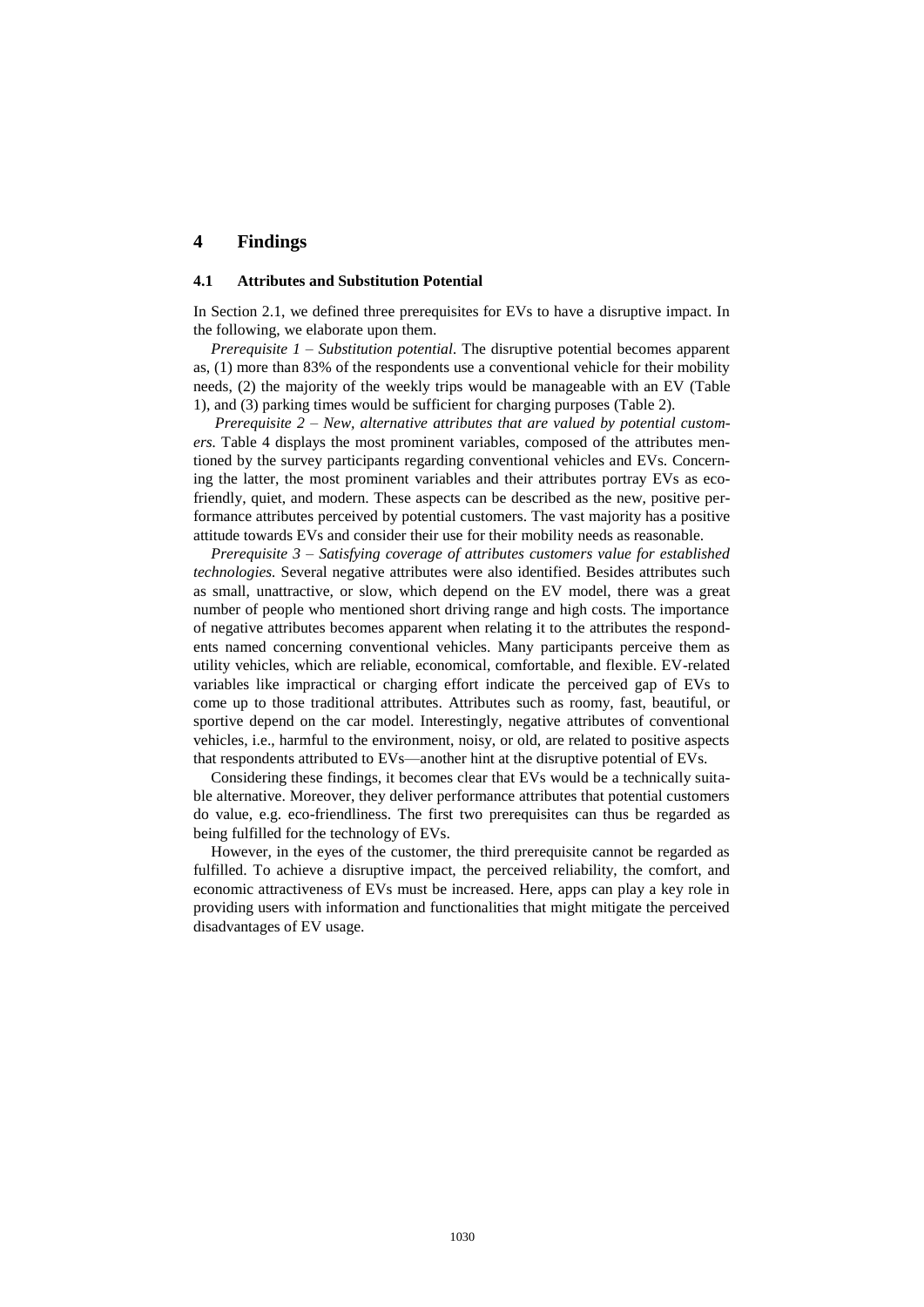## **4 Findings**

#### **4.1 Attributes and Substitution Potential**

In Section 2.1, we defined three prerequisites for EVs to have a disruptive impact. In the following, we elaborate upon them.

*Prerequisite 1 – Substitution potential.* The disruptive potential becomes apparent as, (1) more than 83% of the respondents use a conventional vehicle for their mobility needs, (2) the majority of the weekly trips would be manageable with an EV (Table 1), and (3) parking times would be sufficient for charging purposes (Table 2).

*Prerequisite 2 – New, alternative attributes that are valued by potential customers.* Table 4 displays the most prominent variables, composed of the attributes mentioned by the survey participants regarding conventional vehicles and EVs. Concerning the latter, the most prominent variables and their attributes portray EVs as ecofriendly, quiet, and modern. These aspects can be described as the new, positive performance attributes perceived by potential customers. The vast majority has a positive attitude towards EVs and consider their use for their mobility needs as reasonable.

*Prerequisite 3 – Satisfying coverage of attributes customers value for established technologies.* Several negative attributes were also identified. Besides attributes such as small, unattractive, or slow, which depend on the EV model, there was a great number of people who mentioned short driving range and high costs. The importance of negative attributes becomes apparent when relating it to the attributes the respondents named concerning conventional vehicles. Many participants perceive them as utility vehicles, which are reliable, economical, comfortable, and flexible. EV-related variables like impractical or charging effort indicate the perceived gap of EVs to come up to those traditional attributes. Attributes such as roomy, fast, beautiful, or sportive depend on the car model. Interestingly, negative attributes of conventional vehicles, i.e., harmful to the environment, noisy, or old, are related to positive aspects that respondents attributed to EVs—another hint at the disruptive potential of EVs.

Considering these findings, it becomes clear that EVs would be a technically suitable alternative. Moreover, they deliver performance attributes that potential customers do value, e.g. eco-friendliness. The first two prerequisites can thus be regarded as being fulfilled for the technology of EVs.

However, in the eyes of the customer, the third prerequisite cannot be regarded as fulfilled. To achieve a disruptive impact, the perceived reliability, the comfort, and economic attractiveness of EVs must be increased. Here, apps can play a key role in providing users with information and functionalities that might mitigate the perceived disadvantages of EV usage.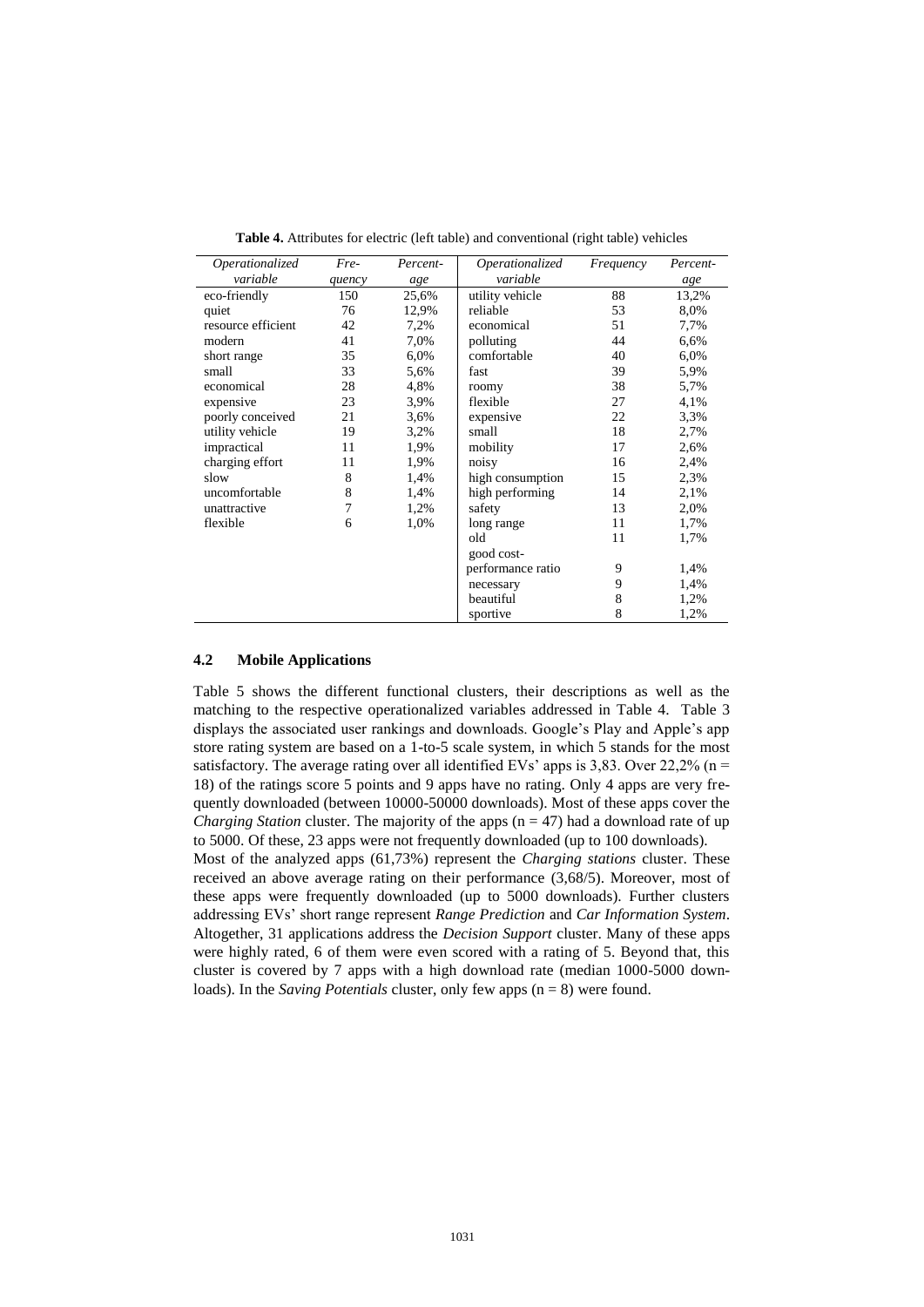| Operationalized    | Fre-   | Percent- | Operationalized   | Frequency | Percent- |
|--------------------|--------|----------|-------------------|-----------|----------|
| variable           | quency | age      | variable          |           | age      |
| eco-friendly       | 150    | 25,6%    | utility vehicle   | 88        | 13,2%    |
| quiet              | 76     | 12,9%    | reliable          | 53        | 8,0%     |
| resource efficient | 42     | 7,2%     | economical        | 51        | 7,7%     |
| modern             | 41     | 7,0%     | polluting         | 44        | 6,6%     |
| short range        | 35     | 6,0%     | comfortable       | 40        | 6,0%     |
| small              | 33     | 5,6%     | fast              | 39        | 5,9%     |
| economical         | 28     | 4,8%     | roomy             | 38        | 5,7%     |
| expensive          | 23     | 3,9%     | flexible          | 27        | 4,1%     |
| poorly conceived   | 21     | 3,6%     | expensive         | 22        | 3,3%     |
| utility vehicle    | 19     | 3,2%     | small             | 18        | 2,7%     |
| impractical        | 11     | 1,9%     | mobility          | 17        | 2,6%     |
| charging effort    | 11     | 1,9%     | noisy             | 16        | 2,4%     |
| slow               | 8      | 1,4%     | high consumption  | 15        | 2,3%     |
| uncomfortable      | 8      | 1,4%     | high performing   | 14        | 2,1%     |
| unattractive       | 7      | 1,2%     | safety            | 13        | 2,0%     |
| flexible           | 6      | 1,0%     | long range        | 11        | 1,7%     |
|                    |        |          | old               | 11        | 1,7%     |
|                    |        |          | good cost-        |           |          |
|                    |        |          | performance ratio | 9         | 1,4%     |
|                    |        |          | necessary         | 9         | 1,4%     |
|                    |        |          | beautiful         | 8         | 1,2%     |
|                    |        |          | sportive          | 8         | 1,2%     |

**Table 4.** Attributes for electric (left table) and conventional (right table) vehicles

#### **4.2 Mobile Applications**

Table 5 shows the different functional clusters, their descriptions as well as the matching to the respective operationalized variables addressed in Table 4. Table 3 displays the associated user rankings and downloads. Google's Play and Apple's app store rating system are based on a 1-to-5 scale system, in which 5 stands for the most satisfactory. The average rating over all identified EVs' apps is  $3,83$ . Over  $22,2\%$  (n = 18) of the ratings score 5 points and 9 apps have no rating. Only 4 apps are very frequently downloaded (between 10000-50000 downloads). Most of these apps cover the *Charging Station* cluster. The majority of the apps  $(n = 47)$  had a download rate of up to 5000. Of these, 23 apps were not frequently downloaded (up to 100 downloads).

Most of the analyzed apps (61,73%) represent the *Charging stations* cluster. These received an above average rating on their performance (3,68/5). Moreover, most of these apps were frequently downloaded (up to 5000 downloads). Further clusters addressing EVs' short range represent *Range Prediction* and *Car Information System*. Altogether, 31 applications address the *Decision Support* cluster. Many of these apps were highly rated, 6 of them were even scored with a rating of 5. Beyond that, this cluster is covered by 7 apps with a high download rate (median 1000-5000 downloads). In the *Saving Potentials* cluster, only few apps (n = 8) were found.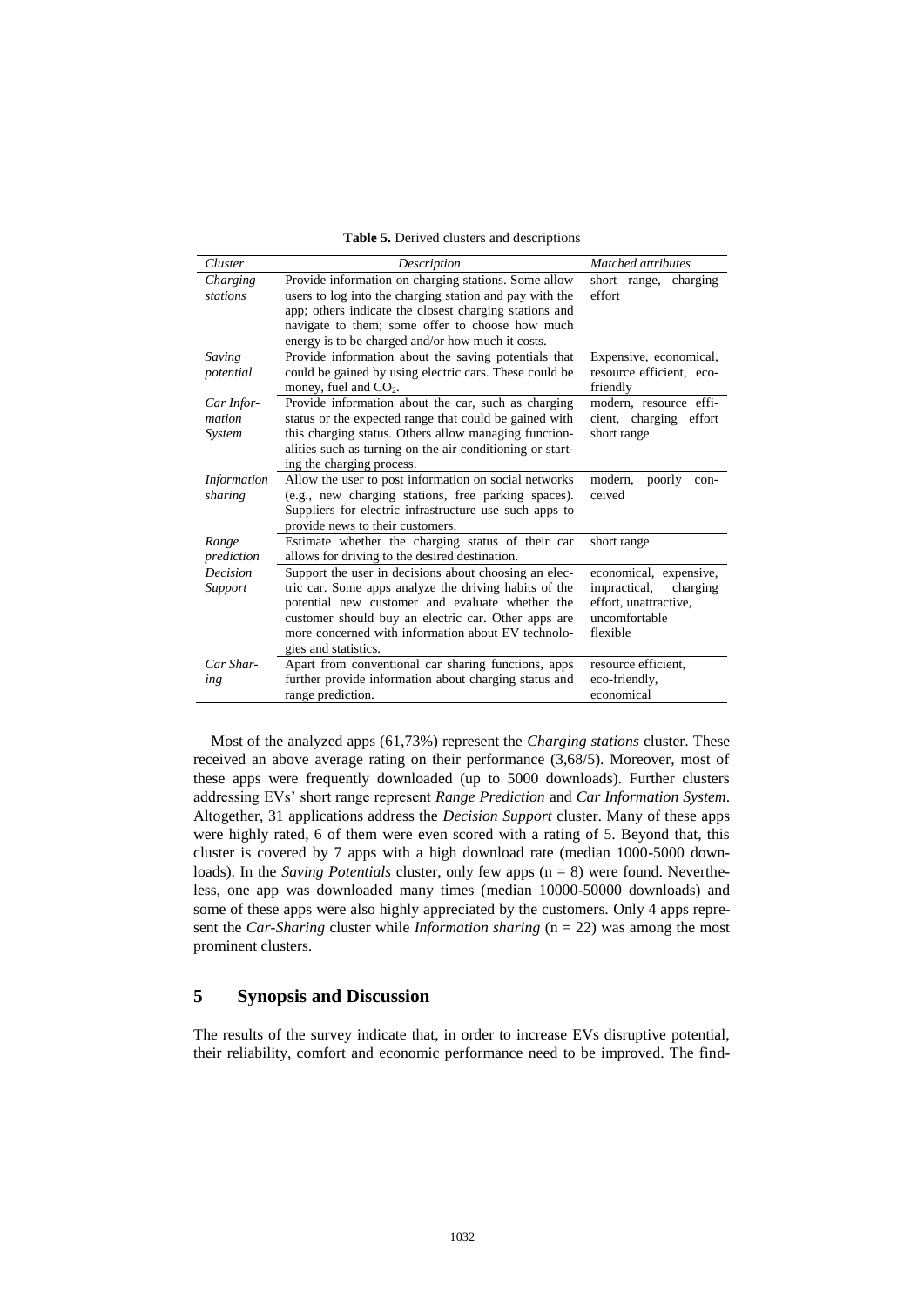| <b>Table 5.</b> Derived clusters and descriptions |  |  |  |  |  |
|---------------------------------------------------|--|--|--|--|--|
|---------------------------------------------------|--|--|--|--|--|

| Cluster            | Description                                               | Matched attributes        |
|--------------------|-----------------------------------------------------------|---------------------------|
| Charging           | Provide information on charging stations. Some allow      | short range,<br>charging  |
| stations           | users to log into the charging station and pay with the   | effort                    |
|                    | app; others indicate the closest charging stations and    |                           |
|                    | navigate to them; some offer to choose how much           |                           |
|                    | energy is to be charged and/or how much it costs.         |                           |
| Saving             | Provide information about the saving potentials that      | Expensive, economical,    |
| potential          | could be gained by using electric cars. These could be    | resource efficient, eco-  |
|                    | money, fuel and $CO2$ .                                   | friendly                  |
| Car Infor-         | Provide information about the car, such as charging       | modern, resource effi-    |
| mation             | status or the expected range that could be gained with    | cient, charging effort    |
| System             | this charging status. Others allow managing function-     | short range               |
|                    | alities such as turning on the air conditioning or start- |                           |
|                    | ing the charging process.                                 |                           |
| <b>Information</b> | Allow the user to post information on social networks     | modern,<br>poorly<br>con- |
| sharing            | (e.g., new charging stations, free parking spaces).       | ceived                    |
|                    | Suppliers for electric infrastructure use such apps to    |                           |
|                    | provide news to their customers.                          |                           |
| Range              | Estimate whether the charging status of their car         | short range               |
| prediction         | allows for driving to the desired destination.            |                           |
| Decision           | Support the user in decisions about choosing an elec-     | economical, expensive,    |
| Support            | tric car. Some apps analyze the driving habits of the     | impractical,<br>charging  |
|                    | potential new customer and evaluate whether the           | effort, unattractive,     |
|                    | customer should buy an electric car. Other apps are       | uncomfortable             |
|                    | more concerned with information about EV technolo-        | flexible                  |
|                    | gies and statistics.                                      |                           |
| Car Shar-          | Apart from conventional car sharing functions, apps       | resource efficient,       |
| ing                | further provide information about charging status and     | eco-friendly,             |
|                    | range prediction.                                         | economical                |

Most of the analyzed apps (61,73%) represent the *Charging stations* cluster. These received an above average rating on their performance (3,68/5). Moreover, most of these apps were frequently downloaded (up to 5000 downloads). Further clusters addressing EVs' short range represent *Range Prediction* and *Car Information System*. Altogether, 31 applications address the *Decision Support* cluster. Many of these apps were highly rated, 6 of them were even scored with a rating of 5. Beyond that, this cluster is covered by 7 apps with a high download rate (median 1000-5000 downloads). In the *Saving Potentials* cluster, only few apps (n = 8) were found. Nevertheless, one app was downloaded many times (median 10000-50000 downloads) and some of these apps were also highly appreciated by the customers. Only 4 apps represent the *Car-Sharing* cluster while *Information sharing* (n = 22) was among the most prominent clusters.

# **5 Synopsis and Discussion**

The results of the survey indicate that, in order to increase EVs disruptive potential, their reliability, comfort and economic performance need to be improved. The find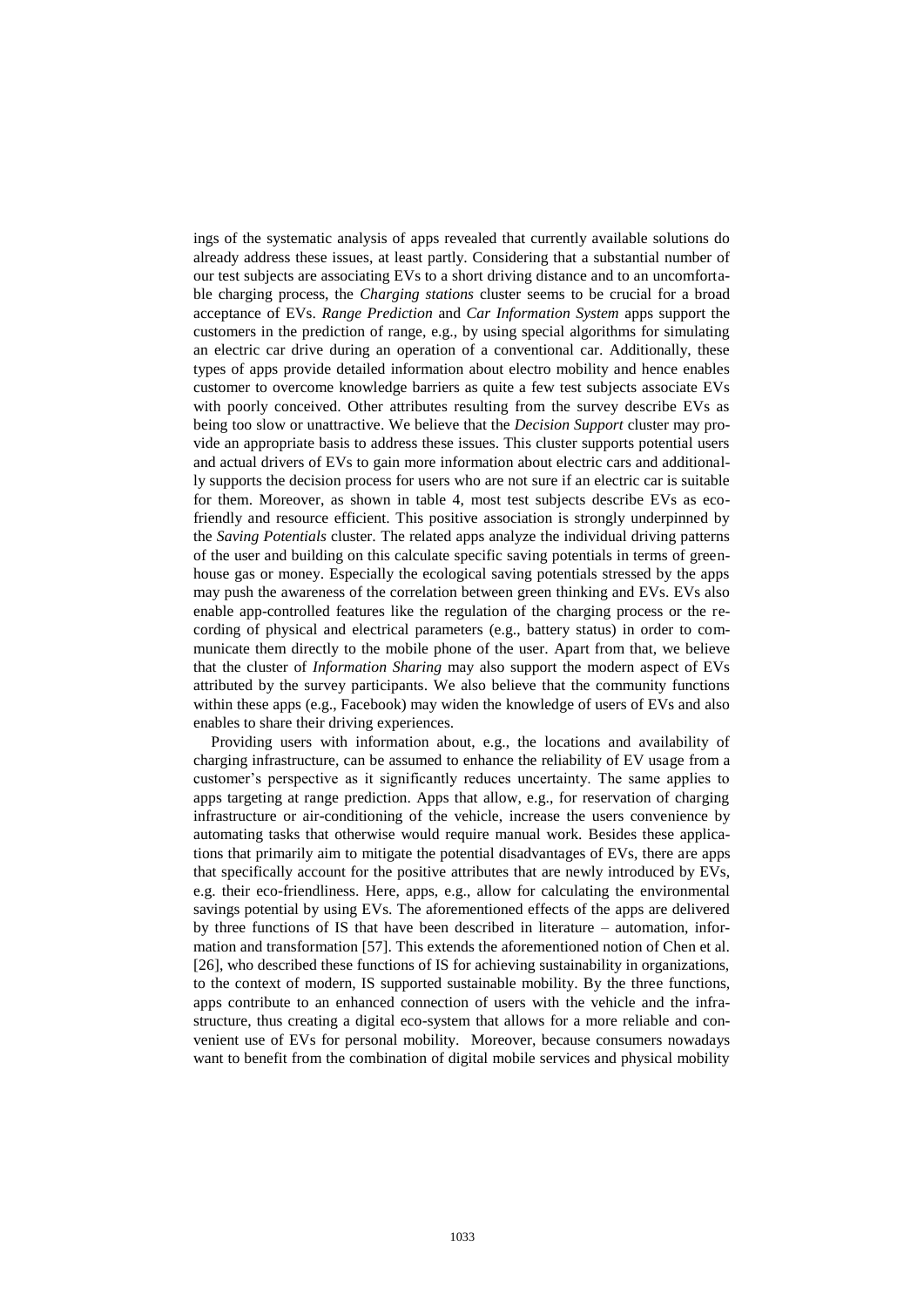ings of the systematic analysis of apps revealed that currently available solutions do already address these issues, at least partly. Considering that a substantial number of our test subjects are associating EVs to a short driving distance and to an uncomfortable charging process, the *Charging stations* cluster seems to be crucial for a broad acceptance of EVs. *Range Prediction* and *Car Information System* apps support the customers in the prediction of range, e.g., by using special algorithms for simulating an electric car drive during an operation of a conventional car. Additionally, these types of apps provide detailed information about electro mobility and hence enables customer to overcome knowledge barriers as quite a few test subjects associate EVs with poorly conceived. Other attributes resulting from the survey describe EVs as being too slow or unattractive. We believe that the *Decision Support* cluster may provide an appropriate basis to address these issues. This cluster supports potential users and actual drivers of EVs to gain more information about electric cars and additionally supports the decision process for users who are not sure if an electric car is suitable for them. Moreover, as shown in table 4, most test subjects describe EVs as ecofriendly and resource efficient. This positive association is strongly underpinned by the *Saving Potentials* cluster. The related apps analyze the individual driving patterns of the user and building on this calculate specific saving potentials in terms of greenhouse gas or money. Especially the ecological saving potentials stressed by the apps may push the awareness of the correlation between green thinking and EVs. EVs also enable app-controlled features like the regulation of the charging process or the recording of physical and electrical parameters (e.g., battery status) in order to communicate them directly to the mobile phone of the user. Apart from that, we believe that the cluster of *Information Sharing* may also support the modern aspect of EVs attributed by the survey participants. We also believe that the community functions within these apps (e.g., Facebook) may widen the knowledge of users of EVs and also enables to share their driving experiences.

Providing users with information about, e.g., the locations and availability of charging infrastructure, can be assumed to enhance the reliability of EV usage from a customer's perspective as it significantly reduces uncertainty. The same applies to apps targeting at range prediction. Apps that allow, e.g., for reservation of charging infrastructure or air-conditioning of the vehicle, increase the users convenience by automating tasks that otherwise would require manual work. Besides these applications that primarily aim to mitigate the potential disadvantages of EVs, there are apps that specifically account for the positive attributes that are newly introduced by EVs, e.g. their eco-friendliness. Here, apps, e.g., allow for calculating the environmental savings potential by using EVs. The aforementioned effects of the apps are delivered by three functions of IS that have been described in literature – automation, information and transformation [57]. This extends the aforementioned notion of Chen et al. [26], who described these functions of IS for achieving sustainability in organizations, to the context of modern, IS supported sustainable mobility. By the three functions, apps contribute to an enhanced connection of users with the vehicle and the infrastructure, thus creating a digital eco-system that allows for a more reliable and convenient use of EVs for personal mobility. Moreover, because consumers nowadays want to benefit from the combination of digital mobile services and physical mobility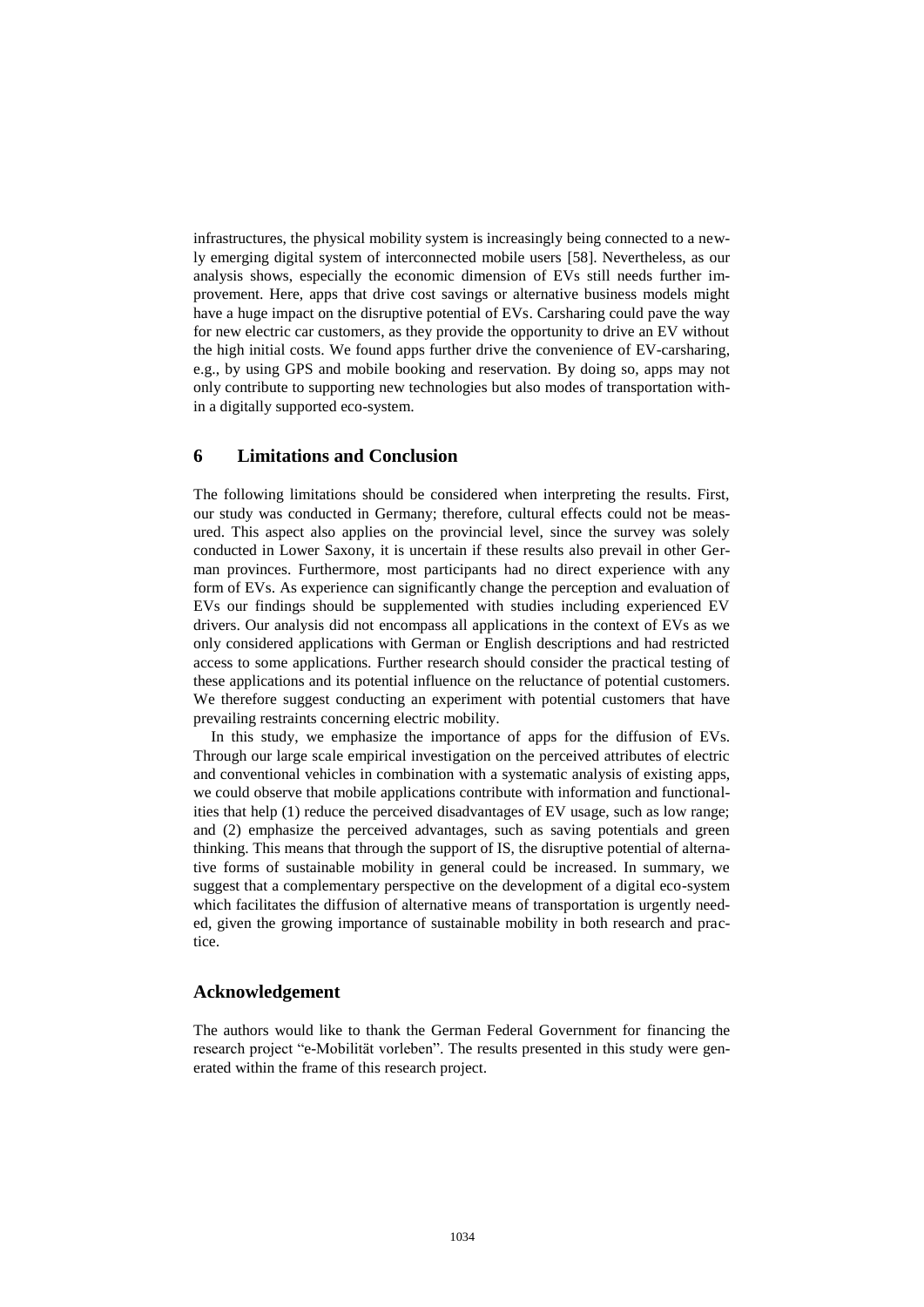infrastructures, the physical mobility system is increasingly being connected to a newly emerging digital system of interconnected mobile users [58]. Nevertheless, as our analysis shows, especially the economic dimension of EVs still needs further improvement. Here, apps that drive cost savings or alternative business models might have a huge impact on the disruptive potential of EVs. Carsharing could pave the way for new electric car customers, as they provide the opportunity to drive an EV without the high initial costs. We found apps further drive the convenience of EV-carsharing, e.g., by using GPS and mobile booking and reservation. By doing so, apps may not only contribute to supporting new technologies but also modes of transportation within a digitally supported eco-system.

#### **6 Limitations and Conclusion**

The following limitations should be considered when interpreting the results. First, our study was conducted in Germany; therefore, cultural effects could not be measured. This aspect also applies on the provincial level, since the survey was solely conducted in Lower Saxony, it is uncertain if these results also prevail in other German provinces. Furthermore, most participants had no direct experience with any form of EVs. As experience can significantly change the perception and evaluation of EVs our findings should be supplemented with studies including experienced EV drivers. Our analysis did not encompass all applications in the context of EVs as we only considered applications with German or English descriptions and had restricted access to some applications. Further research should consider the practical testing of these applications and its potential influence on the reluctance of potential customers. We therefore suggest conducting an experiment with potential customers that have prevailing restraints concerning electric mobility.

In this study, we emphasize the importance of apps for the diffusion of EVs. Through our large scale empirical investigation on the perceived attributes of electric and conventional vehicles in combination with a systematic analysis of existing apps, we could observe that mobile applications contribute with information and functionalities that help (1) reduce the perceived disadvantages of EV usage, such as low range; and (2) emphasize the perceived advantages, such as saving potentials and green thinking. This means that through the support of IS, the disruptive potential of alternative forms of sustainable mobility in general could be increased. In summary, we suggest that a complementary perspective on the development of a digital eco-system which facilitates the diffusion of alternative means of transportation is urgently needed, given the growing importance of sustainable mobility in both research and practice.

#### **Acknowledgement**

The authors would like to thank the German Federal Government for financing the research project "e-Mobilität vorleben". The results presented in this study were generated within the frame of this research project.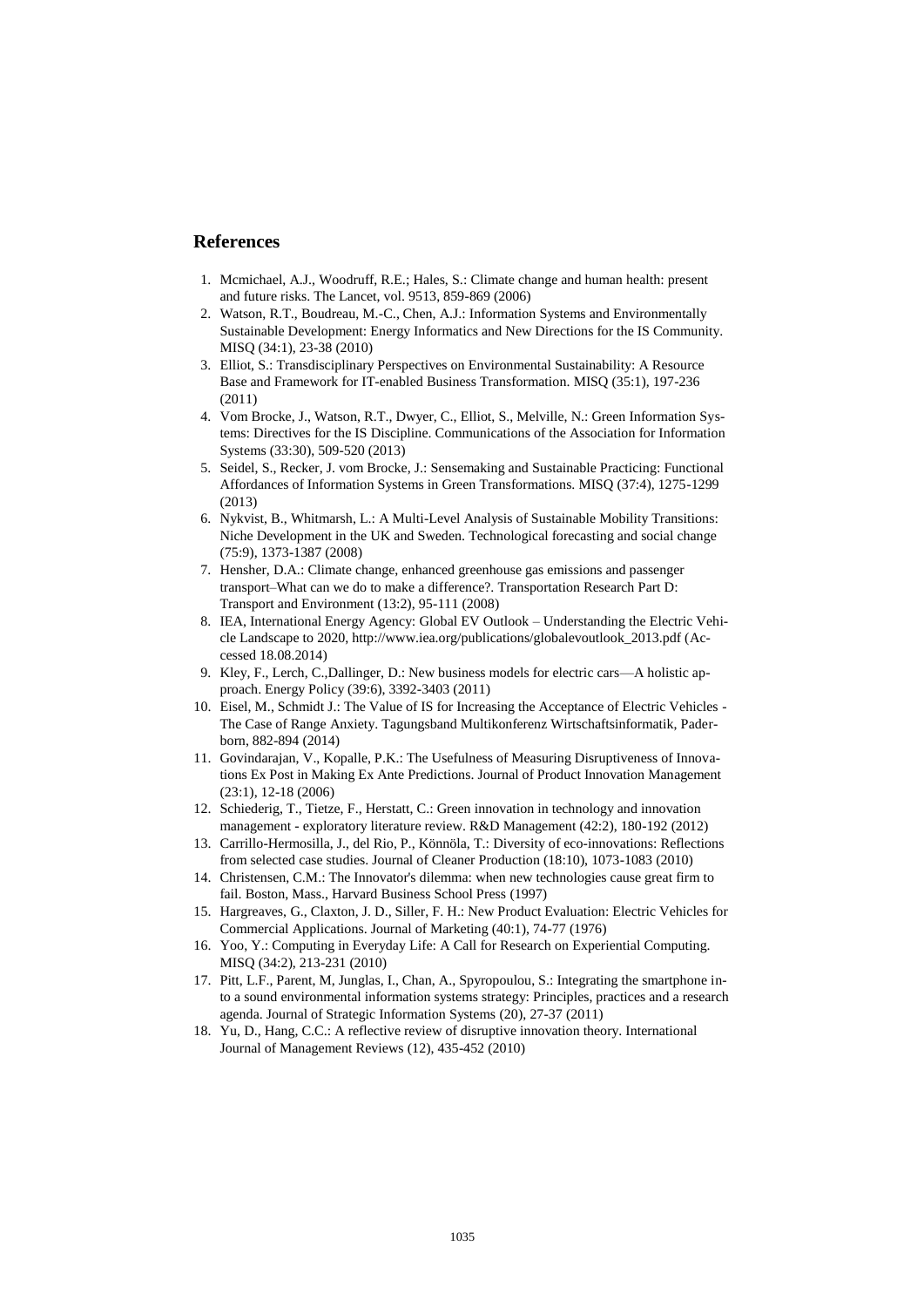#### **References**

- 1. Mcmichael, A.J., Woodruff, R.E.; Hales, S.: Climate change and human health: present and future risks. The Lancet, vol. 9513, 859-869 (2006)
- 2. Watson, R.T., Boudreau, M.-C., Chen, A.J.: Information Systems and Environmentally Sustainable Development: Energy Informatics and New Directions for the IS Community. MISQ (34:1), 23-38 (2010)
- 3. Elliot, S.: Transdisciplinary Perspectives on Environmental Sustainability: A Resource Base and Framework for IT-enabled Business Transformation. MISQ (35:1), 197-236 (2011)
- 4. Vom Brocke, J., Watson, R.T., Dwyer, C., Elliot, S., Melville, N.: Green Information Systems: Directives for the IS Discipline. Communications of the Association for Information Systems (33:30), 509-520 (2013)
- 5. Seidel, S., Recker, J. vom Brocke, J.: Sensemaking and Sustainable Practicing: Functional Affordances of Information Systems in Green Transformations. MISQ (37:4), 1275-1299 (2013)
- 6. Nykvist, B., Whitmarsh, L.: A Multi-Level Analysis of Sustainable Mobility Transitions: Niche Development in the UK and Sweden. Technological forecasting and social change (75:9), 1373-1387 (2008)
- 7. Hensher, D.A.: Climate change, enhanced greenhouse gas emissions and passenger transport–What can we do to make a difference?. Transportation Research Part D: Transport and Environment (13:2), 95-111 (2008)
- 8. IEA, International Energy Agency: Global EV Outlook Understanding the Electric Vehicle Landscape to 2020, http://www.iea.org/publications/globalevoutlook\_2013.pdf (Accessed 18.08.2014)
- 9. Kley, F., Lerch, C.,Dallinger, D.: New business models for electric cars—A holistic approach. Energy Policy (39:6), 3392-3403 (2011)
- 10. Eisel, M., Schmidt J.: The Value of IS for Increasing the Acceptance of Electric Vehicles The Case of Range Anxiety. Tagungsband Multikonferenz Wirtschaftsinformatik, Paderborn, 882-894 (2014)
- 11. Govindarajan, V., Kopalle, P.K.: The Usefulness of Measuring Disruptiveness of Innovations Ex Post in Making Ex Ante Predictions. Journal of Product Innovation Management (23:1), 12-18 (2006)
- 12. Schiederig, T., Tietze, F., Herstatt, C.: Green innovation in technology and innovation management - exploratory literature review. R&D Management (42:2), 180-192 (2012)
- 13. Carrillo-Hermosilla, J., del Rio, P., Könnöla, T.: Diversity of eco-innovations: Reflections from selected case studies. Journal of Cleaner Production (18:10), 1073-1083 (2010)
- 14. Christensen, C.M.: The Innovator's dilemma: when new technologies cause great firm to fail. Boston, Mass., Harvard Business School Press (1997)
- 15. Hargreaves, G., Claxton, J. D., Siller, F. H.: New Product Evaluation: Electric Vehicles for Commercial Applications. Journal of Marketing (40:1), 74-77 (1976)
- 16. Yoo, Y.: Computing in Everyday Life: A Call for Research on Experiential Computing. MISQ (34:2), 213-231 (2010)
- 17. Pitt, L.F., Parent, M, Junglas, I., Chan, A., Spyropoulou, S.: Integrating the smartphone into a sound environmental information systems strategy: Principles, practices and a research agenda. Journal of Strategic Information Systems (20), 27-37 (2011)
- 18. Yu, D., Hang, C.C.: A reflective review of disruptive innovation theory. International Journal of Management Reviews (12), 435-452 (2010)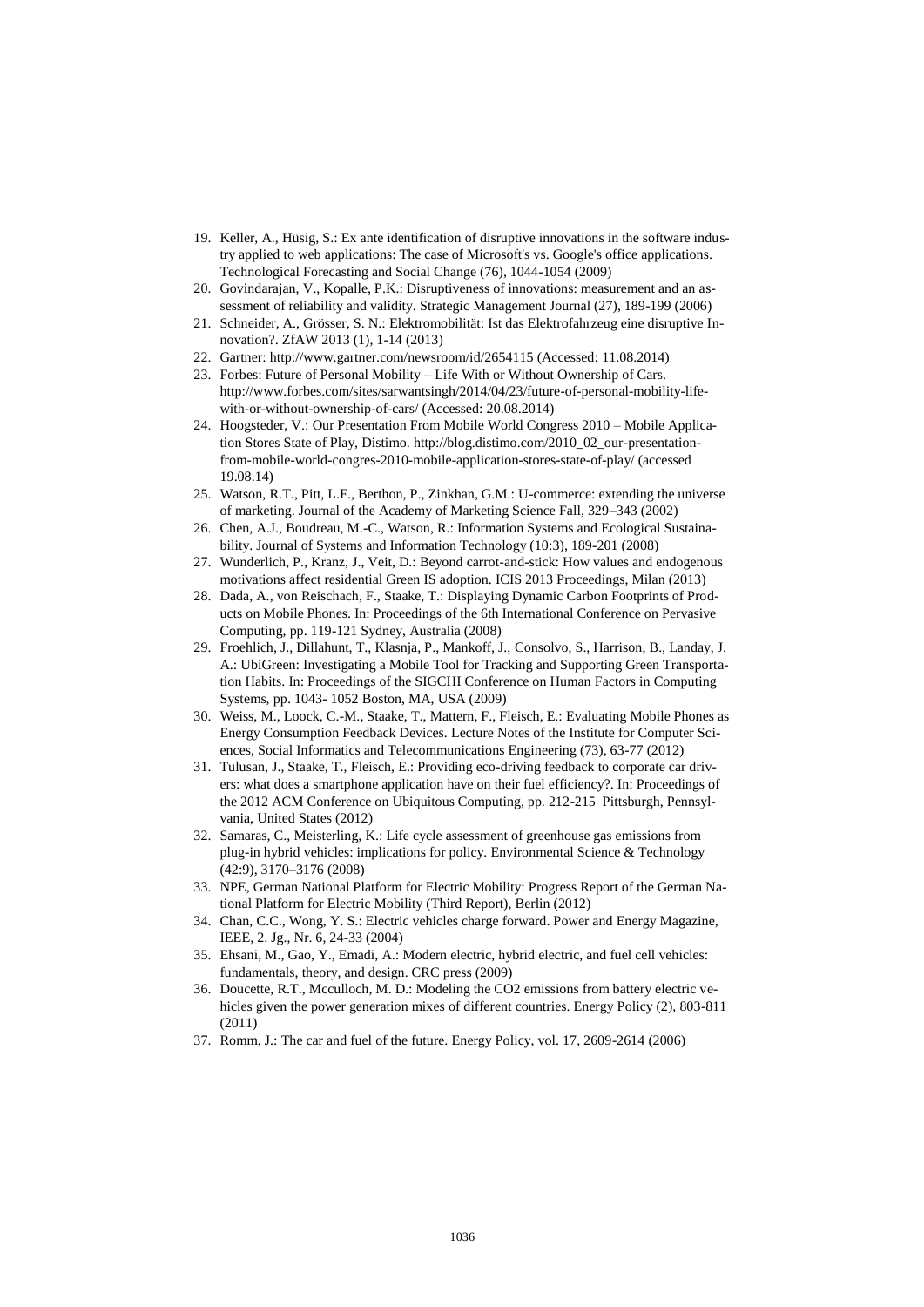- 19. Keller, A., Hüsig, S.: Ex ante identification of disruptive innovations in the software industry applied to web applications: The case of Microsoft's vs. Google's office applications. Technological Forecasting and Social Change (76), 1044-1054 (2009)
- 20. Govindarajan, V., Kopalle, P.K.: Disruptiveness of innovations: measurement and an assessment of reliability and validity. Strategic Management Journal (27), 189-199 (2006)
- 21. Schneider, A., Grösser, S. N.: Elektromobilität: Ist das Elektrofahrzeug eine disruptive Innovation?. ZfAW 2013 (1), 1-14 (2013)
- 22. Gartner: http://www.gartner.com/newsroom/id/2654115 (Accessed: 11.08.2014)
- 23. Forbes: Future of Personal Mobility Life With or Without Ownership of Cars. http://www.forbes.com/sites/sarwantsingh/2014/04/23/future-of-personal-mobility-lifewith-or-without-ownership-of-cars/ (Accessed: 20.08.2014)
- 24. Hoogsteder, V.: Our Presentation From Mobile World Congress 2010 Mobile Application Stores State of Play, Distimo. http://blog.distimo.com/2010\_02\_our-presentationfrom-mobile-world-congres-2010-mobile-application-stores-state-of-play/ (accessed 19.08.14)
- 25. Watson, R.T., Pitt, L.F., Berthon, P., Zinkhan, G.M.: U-commerce: extending the universe of marketing. Journal of the Academy of Marketing Science Fall, 329–343 (2002)
- 26. Chen, A.J., Boudreau, M.-C., Watson, R.: Information Systems and Ecological Sustainability. Journal of Systems and Information Technology (10:3), 189-201 (2008)
- 27. Wunderlich, P., Kranz, J., Veit, D.: Beyond carrot-and-stick: How values and endogenous motivations affect residential Green IS adoption. ICIS 2013 Proceedings, Milan (2013)
- 28. Dada, A., von Reischach, F., Staake, T.: Displaying Dynamic Carbon Footprints of Products on Mobile Phones. In: Proceedings of the 6th International Conference on Pervasive Computing, pp. 119-121 Sydney, Australia (2008)
- 29. Froehlich, J., Dillahunt, T., Klasnja, P., Mankoff, J., Consolvo, S., Harrison, B., Landay, J. A.: UbiGreen: Investigating a Mobile Tool for Tracking and Supporting Green Transportation Habits. In: Proceedings of the SIGCHI Conference on Human Factors in Computing Systems, pp. 1043- 1052 Boston, MA, USA (2009)
- 30. Weiss, M., Loock, C.-M., Staake, T., Mattern, F., Fleisch, E.: Evaluating Mobile Phones as Energy Consumption Feedback Devices. Lecture Notes of the Institute for Computer Sciences, Social Informatics and Telecommunications Engineering (73), 63-77 (2012)
- 31. Tulusan, J., Staake, T., Fleisch, E.: Providing eco-driving feedback to corporate car drivers: what does a smartphone application have on their fuel efficiency?. In: Proceedings of the 2012 ACM Conference on Ubiquitous Computing, pp. 212-215 Pittsburgh, Pennsylvania, United States (2012)
- 32. Samaras, C., Meisterling, K.: Life cycle assessment of greenhouse gas emissions from plug-in hybrid vehicles: implications for policy. Environmental Science & Technology (42:9), 3170–3176 (2008)
- 33. NPE, German National Platform for Electric Mobility: Progress Report of the German National Platform for Electric Mobility (Third Report), Berlin (2012)
- 34. Chan, C.C., Wong, Y. S.: Electric vehicles charge forward. Power and Energy Magazine, IEEE, 2. Jg., Nr. 6, 24-33 (2004)
- 35. Ehsani, M., Gao, Y., Emadi, A.: Modern electric, hybrid electric, and fuel cell vehicles: fundamentals, theory, and design. CRC press (2009)
- 36. Doucette, R.T., Mcculloch, M. D.: Modeling the CO2 emissions from battery electric vehicles given the power generation mixes of different countries. Energy Policy (2), 803-811 (2011)
- 37. Romm, J.: The car and fuel of the future. Energy Policy, vol. 17, 2609-2614 (2006)